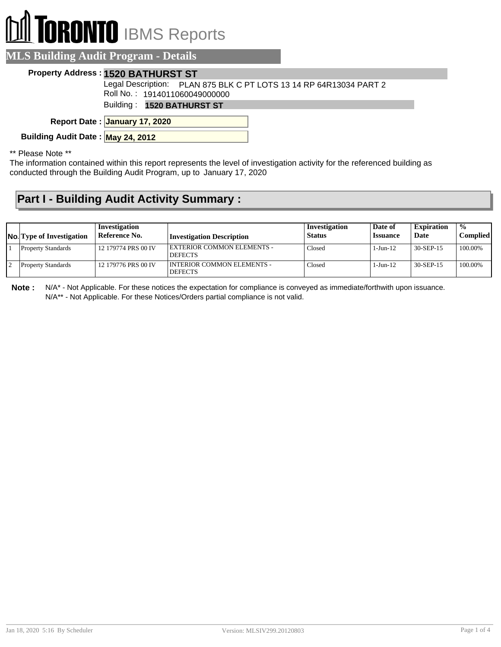# **DRONTO** IBMS Reports

|  | <b>MLS Building Audit Program - Details</b> |  |
|--|---------------------------------------------|--|
|  |                                             |  |

#### **Property Address : 1520 BATHURST ST**

Legal Description: PLAN 875 BLK C PT LOTS 13 14 RP 64R13034 PART 2

Roll No. : 1914011060049000000

Building : **1520 BATHURST ST**

**January 17, 2020 Report Date :**

**Building Audit Date : May 24, 2012**

\*\* Please Note \*\*

The information contained within this report represents the level of investigation activity for the referenced building as conducted through the Building Audit Program, up to January 17, 2020

### **Part I - Building Audit Activity Summary :**

| <b>No.</b> Type of Investigation | Investigation<br>Reference No. | Investigation Description                      | Investigation<br><b>Status</b> | Date of<br><i><b>Issuance</b></i> | <b>Expiration</b><br>Date | $\frac{0}{0}$<br>Complied |
|----------------------------------|--------------------------------|------------------------------------------------|--------------------------------|-----------------------------------|---------------------------|---------------------------|
| <b>Property Standards</b>        | 12 179774 PRS 00 IV            | EXTERIOR COMMON ELEMENTS -<br><b>DEFECTS</b>   | Closed                         | 1-Jun-12                          | 30-SEP-15                 | $100.00\%$                |
| <b>Property Standards</b>        | 12 179776 PRS 00 IV            | I INTERIOR COMMON ELEMENTS -<br><b>DEFECTS</b> | Closed                         | 1-Jun-12                          | 30-SEP-15                 | 100.00%                   |

**Note :** N/A\* - Not Applicable. For these notices the expectation for compliance is conveyed as immediate/forthwith upon issuance. N/A\*\* - Not Applicable. For these Notices/Orders partial compliance is not valid.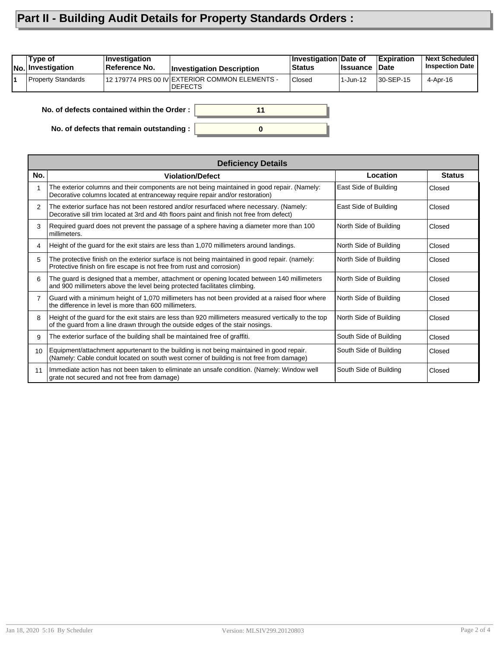## **Part II - Building Audit Details for Property Standards Orders :**

| Type of<br><b>No.</b> Investigation | <b>Investigation</b><br>Reference No.      | <b>Investigation Description</b>                                  | Investigation Date of<br><b>Status</b> | <b>∣Issuance</b> | <b>Expiration</b><br>∣Date | <b>Next Scheduled</b><br><b>Inspection Date</b> |
|-------------------------------------|--------------------------------------------|-------------------------------------------------------------------|----------------------------------------|------------------|----------------------------|-------------------------------------------------|
| Property Standards                  |                                            | 12 179774 PRS 00 IV EXTERIOR COMMON ELEMENTS -<br><b>IDEFECTS</b> | Closed                                 | 1-Jun-12         | 30-SEP-15                  | 4-Apr-16                                        |
|                                     | No. of defects contained within the Order: | 11                                                                |                                        |                  |                            |                                                 |

**0**

**No. of defects contained within the Order :**

**No. of defects that remain outstanding :**

|     | <b>Deficiency Details</b>                                                                                                                                                              |                        |               |  |  |  |  |
|-----|----------------------------------------------------------------------------------------------------------------------------------------------------------------------------------------|------------------------|---------------|--|--|--|--|
| No. | <b>Violation/Defect</b>                                                                                                                                                                | Location               | <b>Status</b> |  |  |  |  |
| 1   | The exterior columns and their components are not being maintained in good repair. (Namely:<br>Decorative columns located at entranceway require repair and/or restoration)            | East Side of Building  | Closed        |  |  |  |  |
| 2   | The exterior surface has not been restored and/or resurfaced where necessary. (Namely:<br>Decorative sill trim located at 3rd and 4th floors paint and finish not free from defect)    | East Side of Building  | Closed        |  |  |  |  |
| 3   | Required guard does not prevent the passage of a sphere having a diameter more than 100<br>millimeters.                                                                                | North Side of Building | Closed        |  |  |  |  |
| 4   | Height of the guard for the exit stairs are less than 1,070 millimeters around landings.                                                                                               | North Side of Building | Closed        |  |  |  |  |
| 5   | The protective finish on the exterior surface is not being maintained in good repair. (namely:<br>Protective finish on fire escape is not free from rust and corrosion)                | North Side of Building | Closed        |  |  |  |  |
| 6   | The guard is designed that a member, attachment or opening located between 140 millimeters<br>and 900 millimeters above the level being protected facilitates climbing.                | North Side of Building | Closed        |  |  |  |  |
| 7   | Guard with a minimum height of 1,070 millimeters has not been provided at a raised floor where<br>the difference in level is more than 600 millimeters.                                | North Side of Building | Closed        |  |  |  |  |
| 8   | Height of the guard for the exit stairs are less than 920 millimeters measured vertically to the top<br>of the guard from a line drawn through the outside edges of the stair nosings. | North Side of Building | Closed        |  |  |  |  |
| 9   | The exterior surface of the building shall be maintained free of graffiti.                                                                                                             | South Side of Building | Closed        |  |  |  |  |
| 10  | Equipment/attachment appurtenant to the building is not being maintained in good repair.<br>(Namely: Cable conduit located on south west corner of building is not free from damage)   | South Side of Building | Closed        |  |  |  |  |
| 11  | Immediate action has not been taken to eliminate an unsafe condition. (Namely: Window well<br>grate not secured and not free from damage)                                              | South Side of Building | Closed        |  |  |  |  |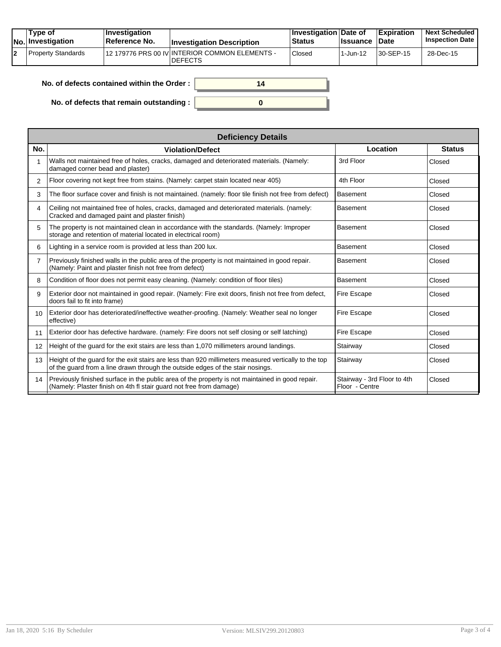| Type of<br>No. Investigation | $ $ Investigation<br><b>Reference No.</b> | <b>Investigation Description</b>                                 | <b>∣Investigation Date of</b><br><b>Status</b> | <b>Ilssuance Date</b> | <b>Expiration</b> | <b>Next Scheduled</b><br><b>Inspection Date</b> |
|------------------------------|-------------------------------------------|------------------------------------------------------------------|------------------------------------------------|-----------------------|-------------------|-------------------------------------------------|
| Property Standards           |                                           | 12 179776 PRS 00 IV INTERIOR COMMON ELEMENTS -<br><b>DEFECTS</b> | <b>Closed</b>                                  | l 1-Jun-12            | $ 30-SEP-15 $     | 28-Dec-15                                       |

| No. of defects contained within the Order:       | 14 |
|--------------------------------------------------|----|
| No. of defects that remain outstanding : $\vert$ |    |

| <b>Deficiency Details</b>                                                                                                                                                              |                                               |               |  |  |  |  |  |
|----------------------------------------------------------------------------------------------------------------------------------------------------------------------------------------|-----------------------------------------------|---------------|--|--|--|--|--|
| <b>Violation/Defect</b>                                                                                                                                                                | Location                                      | <b>Status</b> |  |  |  |  |  |
| Walls not maintained free of holes, cracks, damaged and deteriorated materials. (Namely:<br>damaged corner bead and plaster)                                                           | 3rd Floor                                     | Closed        |  |  |  |  |  |
| Floor covering not kept free from stains. (Namely: carpet stain located near 405)                                                                                                      | 4th Floor                                     | Closed        |  |  |  |  |  |
| The floor surface cover and finish is not maintained. (namely: floor tile finish not free from defect)                                                                                 | <b>Basement</b>                               | Closed        |  |  |  |  |  |
| Ceiling not maintained free of holes, cracks, damaged and deteriorated materials. (namely:<br>Cracked and damaged paint and plaster finish)                                            | <b>Basement</b>                               | Closed        |  |  |  |  |  |
| The property is not maintained clean in accordance with the standards. (Namely: Improper<br>storage and retention of material located in electrical room)                              | <b>Basement</b>                               | Closed        |  |  |  |  |  |
| Lighting in a service room is provided at less than 200 lux.                                                                                                                           | <b>Basement</b>                               | Closed        |  |  |  |  |  |
| Previously finished walls in the public area of the property is not maintained in good repair.<br>(Namely: Paint and plaster finish not free from defect)                              | <b>Basement</b>                               | Closed        |  |  |  |  |  |
| Condition of floor does not permit easy cleaning. (Namely: condition of floor tiles)                                                                                                   | <b>Basement</b>                               | Closed        |  |  |  |  |  |
| Exterior door not maintained in good repair. (Namely: Fire exit doors, finish not free from defect,<br>doors fail to fit into frame)                                                   | Fire Escape                                   | Closed        |  |  |  |  |  |
| Exterior door has deteriorated/ineffective weather-proofing. (Namely: Weather seal no longer<br>effective)                                                                             | Fire Escape                                   | Closed        |  |  |  |  |  |
| Exterior door has defective hardware. (namely: Fire doors not self closing or self latching)                                                                                           | Fire Escape                                   | Closed        |  |  |  |  |  |
| Height of the guard for the exit stairs are less than 1,070 millimeters around landings.                                                                                               | Stairway                                      | Closed        |  |  |  |  |  |
| Height of the guard for the exit stairs are less than 920 millimeters measured vertically to the top<br>of the quard from a line drawn through the outside edges of the stair nosings. | Stairway                                      | Closed        |  |  |  |  |  |
| Previously finished surface in the public area of the property is not maintained in good repair.<br>(Namely: Plaster finish on 4th fl stair guard not free from damage)                | Stairway - 3rd Floor to 4th<br>Floor - Centre | Closed        |  |  |  |  |  |
|                                                                                                                                                                                        |                                               |               |  |  |  |  |  |